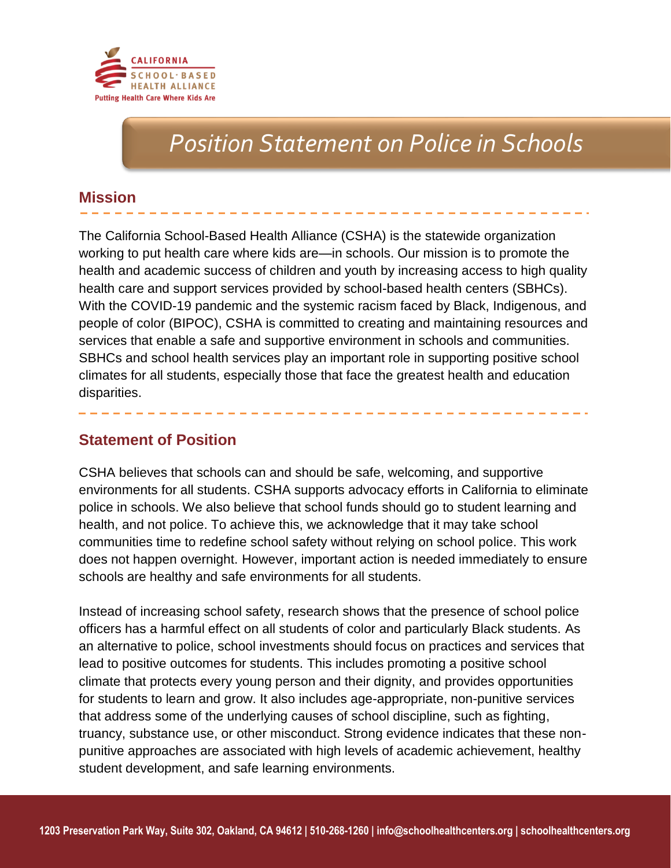

# *Position Statement on Police in Schools*

## **Mission**

The California School-Based Health Alliance (CSHA) is the statewide organization working to put health care where kids are—in schools. Our mission is to promote the health and academic success of children and youth by increasing access to high quality health care and support services provided by school-based health centers (SBHCs). With the COVID-19 pandemic and the systemic racism faced by Black, Indigenous, and people of color (BIPOC), CSHA is committed to creating and maintaining resources and services that enable a safe and supportive environment in schools and communities. SBHCs and school health services play an important role in supporting positive school climates for all students, especially those that face the greatest health and education disparities.

## **Statement of Position**

CSHA believes that schools can and should be safe, welcoming, and supportive environments for all students. CSHA supports advocacy efforts in California to eliminate police in schools. We also believe that school funds should go to student learning and health, and not police. To achieve this, we acknowledge that it may take school communities time to redefine school safety without relying on school police. This work does not happen overnight. However, important action is needed immediately to ensure schools are healthy and safe environments for all students.

Instead of increasing school safety, research shows that the presence of school police officers has a harmful effect on all students of color and particularly Black students. As an alternative to police, school investments should focus on practices and services that lead to positive outcomes for students. This includes promoting a positive school climate that protects every young person and their dignity, and provides opportunities for students to learn and grow. It also includes age-appropriate, non-punitive services that address some of the underlying causes of school discipline, such as fighting, truancy, substance use, or other misconduct. Strong evidence indicates that these nonpunitive approaches are associated with high levels of academic achievement, healthy student development, and safe learning environments.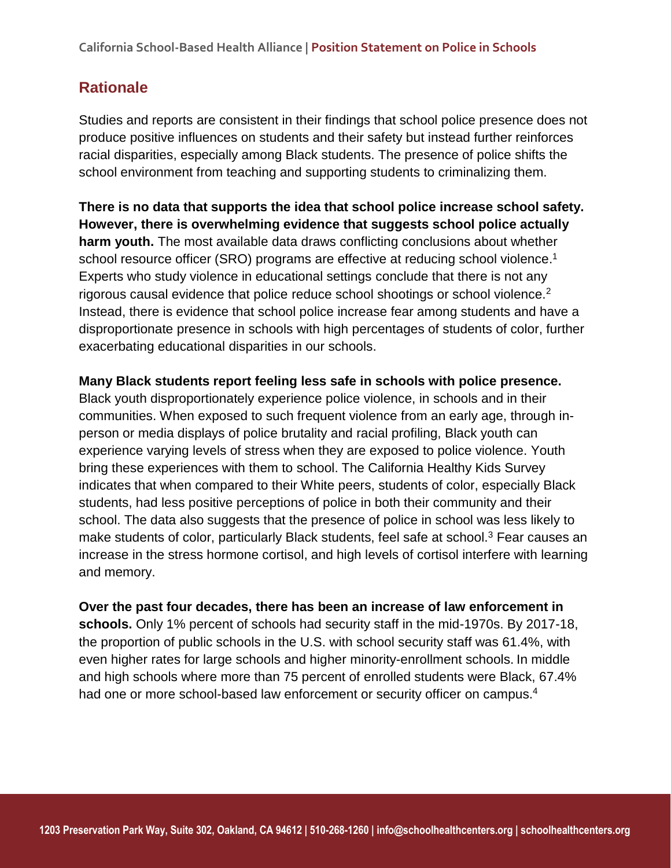## **Rationale**

Studies and reports are consistent in their findings that school police presence does not produce positive influences on students and their safety but instead further reinforces racial disparities, especially among Black students. The presence of police shifts the school environment from teaching and supporting students to criminalizing them.

**There is no data that supports the idea that school police increase school safety. However, there is overwhelming evidence that suggests school police actually harm youth.** The most available data draws conflicting conclusions about whether school resource officer (SRO) programs are effective at reducing school violence.<sup>1</sup> Experts who study violence in educational settings conclude that there is not any rigorous causal evidence that police reduce school shootings or school violence.<sup>2</sup> Instead, there is evidence that school police increase fear among students and have a disproportionate presence in schools with high percentages of students of color, further exacerbating educational disparities in our schools.

**Many Black students report feeling less safe in schools with police presence.**  Black youth disproportionately experience police violence, in schools and in their communities. When exposed to such frequent violence from an early age, through inperson or media displays of police brutality and racial profiling, Black youth can experience varying levels of stress when they are exposed to police violence. Youth bring these experiences with them to school. The California Healthy Kids Survey indicates that when compared to their White peers, students of color, especially Black students, had less positive perceptions of police in both their community and their school. The data also suggests that the presence of police in school was less likely to make students of color, particularly Black students, feel safe at school.<sup>3</sup> Fear causes an increase in the stress hormone cortisol, and high levels of cortisol interfere with learning and memory.

**Over the past four decades, there has been an increase of law enforcement in schools.** Only 1% percent of schools had security staff in the mid-1970s. By 2017-18, the proportion of public schools in the U.S. with school security staff was 61.4%, with even higher rates for large schools and higher minority-enrollment schools. In middle and high schools where more than 75 percent of enrolled students were Black, 67.4% had one or more school-based law enforcement or security officer on campus.<sup>4</sup>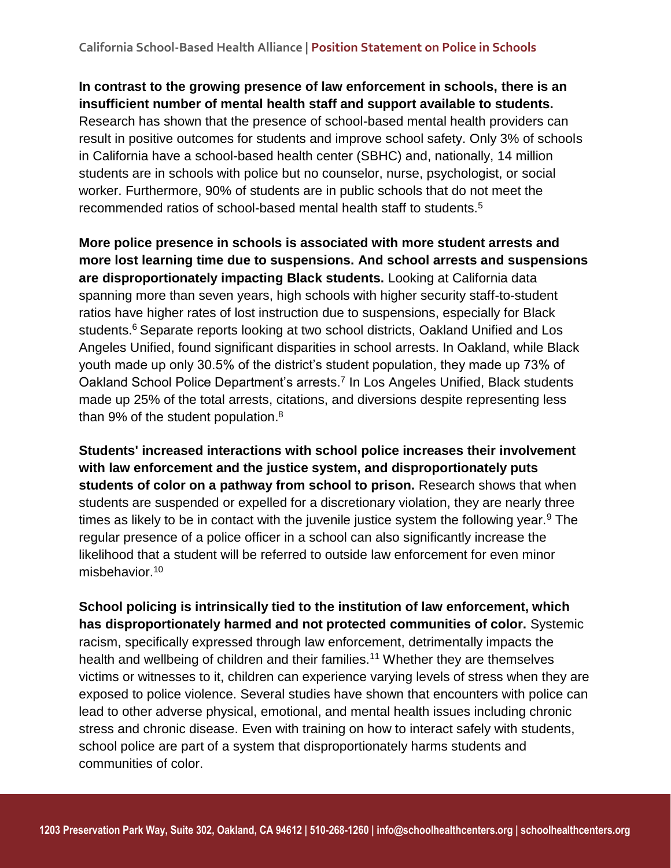**In contrast to the growing presence of law enforcement in schools, there is an insufficient number of mental health staff and support available to students.** Research has shown that the presence of school-based mental health providers can result in positive outcomes for students and improve school safety. Only 3% of schools in California have a school-based health center (SBHC) and, nationally, 14 million students are in schools with police but no counselor, nurse, psychologist, or social worker. Furthermore, 90% of students are in public schools that do not meet the recommended ratios of school-based mental health staff to students.<sup>5</sup>

**More police presence in schools is associated with more student arrests and more lost learning time due to suspensions. And school arrests and suspensions are disproportionately impacting Black students.** Looking at California data spanning more than seven years, high schools with higher security staff-to-student ratios have higher rates of lost instruction due to suspensions, especially for Black students.<sup>6</sup> Separate reports looking at two school districts, Oakland Unified and Los Angeles Unified, found significant disparities in school arrests. In Oakland, while Black youth made up only 30.5% of the district's student population, they made up 73% of Oakland School Police Department's arrests.<sup>7</sup> In Los Angeles Unified, Black students made up 25% of the total arrests, citations, and diversions despite representing less than 9% of the student population.<sup>8</sup>

**Students' increased interactions with school police increases their involvement with law enforcement and the justice system, and disproportionately puts students of color on a pathway from school to prison.** Research shows that when students are suspended or expelled for a discretionary violation, they are nearly three times as likely to be in contact with the juvenile justice system the following year.<sup>9</sup> The regular presence of a police officer in a school can also significantly increase the likelihood that a student will be referred to outside law enforcement for even minor misbehavior.<sup>10</sup>

**School policing is intrinsically tied to the institution of law enforcement, which has disproportionately harmed and not protected communities of color.** Systemic racism, specifically expressed through law enforcement, detrimentally impacts the health and wellbeing of children and their families.<sup>11</sup> Whether they are themselves victims or witnesses to it, children can experience varying levels of stress when they are exposed to police violence. Several studies have shown that encounters with police can lead to other adverse physical, emotional, and mental health issues including chronic stress and chronic disease. Even with training on how to interact safely with students, school police are part of a system that disproportionately harms students and communities of color.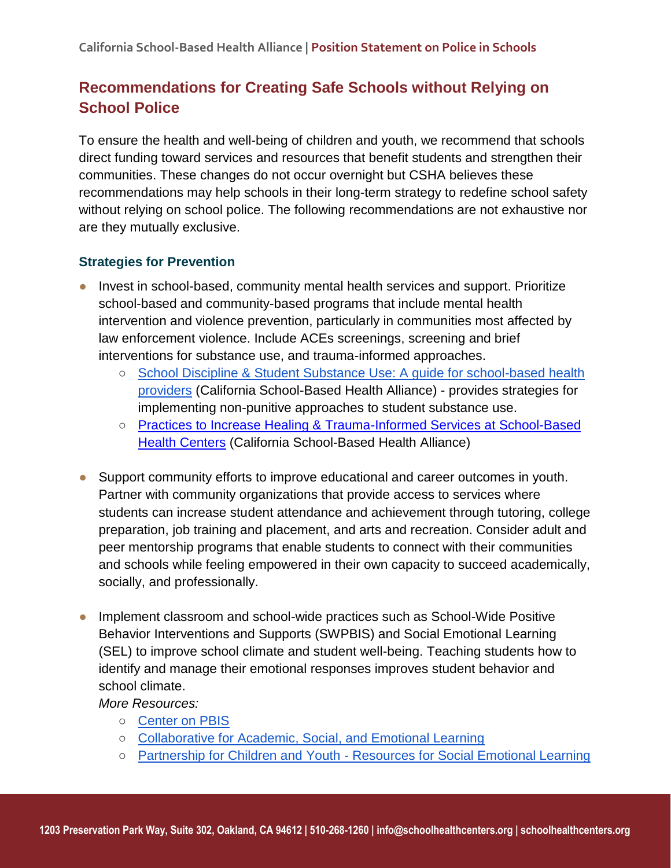# **Recommendations for Creating Safe Schools without Relying on School Police**

To ensure the health and well-being of children and youth, we recommend that schools direct funding toward services and resources that benefit students and strengthen their communities. These changes do not occur overnight but CSHA believes these recommendations may help schools in their long-term strategy to redefine school safety without relying on school police. The following recommendations are not exhaustive nor are they mutually exclusive.

### **Strategies for Prevention**

- Invest in school-based, community mental health services and support. Prioritize school-based and community-based programs that include mental health intervention and violence prevention, particularly in communities most affected by law enforcement violence. Include ACEs screenings, screening and brief interventions for substance use, and trauma-informed approaches.
	- School Discipline & Student Substance Use: A guide for school-based health [providers](https://cshca-wpengine.netdna-ssl.com/wp-content/uploads/2020/04/YOR-School-Discipline-and-Student-Substance-Use_Final.pdf) (California School-Based Health Alliance) - provides strategies for implementing non-punitive approaches to student substance use.
	- Practices to Increase Healing & Trauma-Informed Services at School-Based **[Health Centers](https://www.schoolhealthcenters.org/resources/sbhc-operations/trauma-informed-sbhcs/) (California School-Based Health Alliance)**
- Support community efforts to improve educational and career outcomes in youth. Partner with community organizations that provide access to services where students can increase student attendance and achievement through tutoring, college preparation, job training and placement, and arts and recreation. Consider adult and peer mentorship programs that enable students to connect with their communities and schools while feeling empowered in their own capacity to succeed academically, socially, and professionally.
- Implement classroom and school-wide practices such as School-Wide Positive Behavior Interventions and Supports (SWPBIS) and Social Emotional Learning (SEL) to improve school climate and student well-being. Teaching students how to identify and manage their emotional responses improves student behavior and school climate.

*More Resources:*

- [Center on PBIS](https://www.pbis.org/)
- [Collaborative for Academic, Social, and Emotional Learning](https://casel.org/)
- Partnership for Children and Youth [Resources for Social Emotional Learning](https://www.partnerforchildren.org/social-emotional-learning)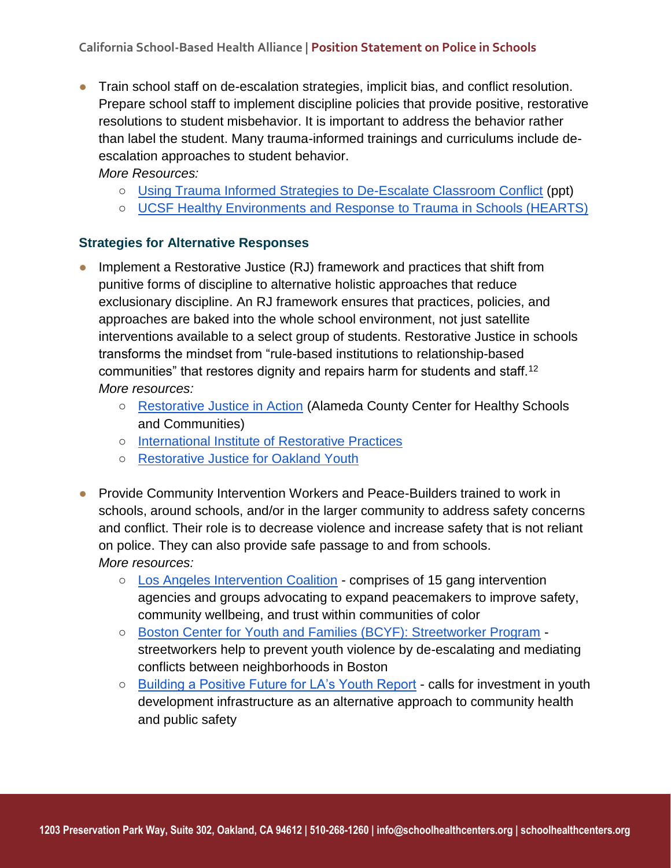- Train school staff on de-escalation strategies, implicit bias, and conflict resolution. Prepare school staff to implement discipline policies that provide positive, restorative resolutions to student misbehavior. It is important to address the behavior rather than label the student. Many trauma-informed trainings and curriculums include deescalation approaches to student behavior. *More Resources:* 
	- - [Using Trauma Informed Strategies to De-Escalate Classroom Conflict](https://www.schoolhealthcenters.org/wp-content/uploads/2014/03/Trauma-Informed-Strategies-to-Deescalate-Classroom-Conflict.pdf) (ppt)
		- [UCSF](https://hearts.ucsf.edu/resources) [Healthy Environments and Response to Trauma in Schools \(HEARTS\)](https://hearts.ucsf.edu/resources)

#### **Strategies for Alternative Responses**

- Implement a Restorative Justice  $(RJ)$  framework and practices that shift from punitive forms of discipline to alternative holistic approaches that reduce exclusionary discipline. An RJ framework ensures that practices, policies, and approaches are baked into the whole school environment, not just satellite interventions available to a select group of students. Restorative Justice in schools transforms the mindset from "rule-based institutions to relationship-based communities" that restores dignity and repairs harm for students and staff.<sup>12</sup> *More resources:*
	- [Restorative Justice in Action](https://static1.squarespace.com/static/58ece61644024383be911a95/t/5e38877bc534512be26f09f7/1580763011151/Restorative+Justice+in+Action.pdf) (Alameda County Center for Healthy Schools and Communities)
	- [International Institute of Restorative Practices](https://www.iirp.edu/)
	- [Restorative Justice for Oakland Youth](https://restorativejusticeontherise.org/resources/restorative-justice-for-oakland-youth-rjoy/)
- Provide Community Intervention Workers and Peace-Builders trained to work in schools, around schools, and/or in the larger community to address safety concerns and conflict. Their role is to decrease violence and increase safety that is not reliant on police. They can also provide safe passage to and from schools. *More resources:*
	- [Los Angeles Intervention Coalition](https://www.urbanpeaceinstitute.org/la-intervention-coalition) comprises of 15 gang intervention agencies and groups advocating to expand peacemakers to improve safety, community wellbeing, and trust within communities of color
	- [Boston Center for Youth and Families \(BCYF\): Streetworker Program](https://www.boston.gov/departments/boston-centers-youth-families) streetworkers help to prevent youth violence by de-escalating and mediating conflicts between neighborhoods in Boston
	- [Building a Positive Future for LA's Youth Report](http://www.acesconnection.com/g/los-angeles-aces-connection/fileSendAction/fcType/5/fcOid/452793993461492423/fodoid/452793993461492422/LAs%20Youth%20-%20Building%20a%20Positive%20Future%20-%20%20Reimagining%20Public%20Safety%20with%20an%20Investment%20in%20Youth%20Development.PDF) calls for investment in youth development infrastructure as an alternative approach to community health and public safety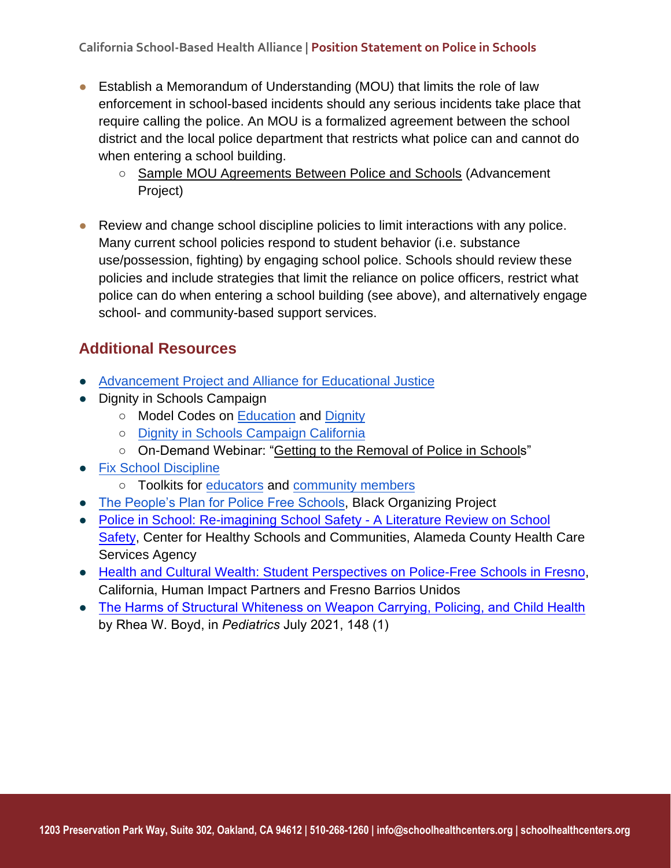- Establish a Memorandum of Understanding (MOU) that limits the role of law enforcement in school-based incidents should any serious incidents take place that require calling the police. An MOU is a formalized agreement between the school district and the local police department that restricts what police can and cannot do when entering a school building.
	- [Sample MOU Agreements Between Police and Schools](https://advancementproject.org/resources/sample-agreements-police-schools/) (Advancement Project)
- Review and change school discipline policies to limit interactions with any police. Many current school policies respond to student behavior (i.e. substance use/possession, fighting) by engaging school police. Schools should review these policies and include strategies that limit the reliance on police officers, restrict what police can do when entering a school building (see above), and alternatively engage school- and community-based support services.

# **Additional Resources**

- [Advancement Project and Alliance for Educational Justice](https://advancementproject.org/home/)
- Dignity in Schools Campaign
	- Model Codes on [Education](https://dignityinschools.org/toolkits/model-code/?toolkit_categories=education) and [Dignity](https://dignityinschools.org/toolkits/model-code/?toolkit_categories=dignity)
	- [Dignity in Schools Campaign California](https://dignityinschools-ca.org/)
	- On-Demand Webinar: ["Getting to the Removal of Police in Schools"](http://dignityinschools.org/aiovg_videos/focusing-freedom-part-iii-getting-to-the-removal-of-police-in-schools/)
- [Fix School Discipline](http://www.fixschooldiscipline.org/)
	- Toolkits for [educators](http://www.fixschooldiscipline.org/educator-toolkit/) and [community members](http://www.fixschooldiscipline.org/community-toolkit/)
- [The People's Plan for Police Free Schools,](http://blackorganizingproject.org/wp-content/uploads/2019/11/The-Peoples-Plan-2019-Online-Reduced-Size.pdf) Black Organizing Project
- [Police in School: Re-imagining School Safety A Literature Review on School](https://achealthyschools.org/wp-content/uploads/2021/02/CHSC-Literature-Review-Police-in-Schools-and-Re-imagining-School-Safety.pdf) [Safety,](https://achealthyschools.org/wp-content/uploads/2021/02/CHSC-Literature-Review-Police-in-Schools-and-Re-imagining-School-Safety.pdf) Center for Healthy Schools and Communities, Alameda County Health Care Services Agency
- [Health and Cultural Wealth: Student Perspectives on Police-Free Schools in Fresno,](https://humanimpact.org/wp-content/uploads/2021/03/HIP-Health-and-Cultural-Wealth-Student-Perspectives-on-Police-Free-Schools-in-Fresno-California-March-2021.pdf) California, Human Impact Partners and Fresno Barrios Unidos
- [The Harms of Structural Whiteness on Weapon Carrying, Policing, and Child Health](https://pediatrics.aappublications.org/content/148/1/e2021050314) by Rhea W. Boyd, in *Pediatrics* July 2021, 148 (1)